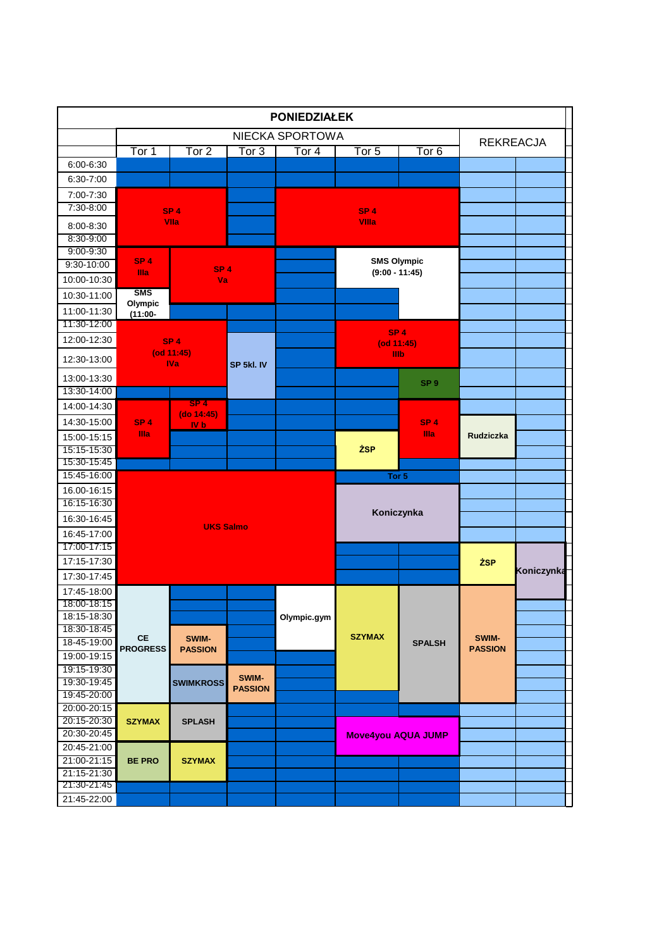|                            |                              |                         |                  | <b>PONIEDZIAŁEK</b> |                           |                                |                         |            |  |
|----------------------------|------------------------------|-------------------------|------------------|---------------------|---------------------------|--------------------------------|-------------------------|------------|--|
|                            |                              |                         |                  | NIECKA SPORTOWA     |                           |                                | <b>REKREACJA</b>        |            |  |
|                            | Tor 1                        | Tor 2                   | Tor <sub>3</sub> | Tor $4$             | Tor $5$                   | Tor $6$                        |                         |            |  |
| $6:00 - 6:30$              |                              |                         |                  |                     |                           |                                |                         |            |  |
| 6:30-7:00                  |                              |                         |                  |                     |                           |                                |                         |            |  |
| 7:00-7:30                  |                              |                         |                  |                     |                           |                                |                         |            |  |
| $7:30 - 8:00$              |                              | SP <sub>4</sub>         |                  |                     | SP <sub>4</sub>           |                                |                         |            |  |
| 8:00-8:30                  |                              | Vila                    |                  |                     | Villa                     |                                |                         |            |  |
| 8:30-9:00                  |                              |                         |                  |                     |                           |                                |                         |            |  |
| $9:00 - 9:30$              | SP <sub>4</sub>              |                         |                  |                     | <b>SMS Olympic</b>        |                                |                         |            |  |
| 9:30-10:00                 | Illa                         | SP <sub>4</sub>         |                  |                     | $(9:00 - 11:45)$          |                                |                         |            |  |
| 10:00-10:30                |                              | Va                      |                  |                     |                           |                                |                         |            |  |
| 10:30-11:00                | <b>SMS</b><br>Olympic        |                         |                  |                     |                           |                                |                         |            |  |
| 11:00-11:30                | $(11:00 -$                   |                         |                  |                     |                           |                                |                         |            |  |
| 11:30-12:00                |                              |                         |                  |                     | SP <sub>4</sub>           |                                |                         |            |  |
| 12:00-12:30                |                              | SP <sub>4</sub>         |                  |                     | (od 11:45)                |                                |                         |            |  |
| 12:30-13:00                |                              | $($ od 11:45 $)$        |                  |                     | Illb                      |                                |                         |            |  |
|                            |                              | <b>IVa</b>              | SP 5kl. IV       |                     |                           |                                |                         |            |  |
| 13:00-13:30<br>13:30-14:00 |                              |                         |                  |                     |                           | SP <sub>9</sub>                |                         |            |  |
| 14:00-14:30                |                              | SP <sub>4</sub>         |                  |                     |                           |                                |                         |            |  |
|                            |                              | $(do 14:45)$            |                  |                     |                           |                                |                         |            |  |
| 14:30-15:00                | SP <sub>4</sub><br>Illa.     | <b>IV</b> <sub>b</sub>  |                  |                     |                           | SP <sub>4</sub><br><b>Illa</b> |                         |            |  |
| 15:00-15:15                |                              |                         |                  |                     |                           |                                | <b>Rudziczka</b>        |            |  |
| 15:15-15:30<br>15:30-15:45 |                              |                         |                  |                     | <b>ŻSP</b>                |                                |                         |            |  |
| 15:45-16:00                |                              |                         |                  |                     | Tor 5                     |                                |                         |            |  |
| 16.00-16:15                |                              |                         |                  |                     |                           |                                |                         |            |  |
| 16:15-16:30                |                              |                         |                  |                     |                           |                                |                         |            |  |
| 16:30-16:45                |                              |                         |                  |                     | Koniczynka                |                                |                         |            |  |
| 16:45-17:00                |                              | <b>UKS Salmo</b>        |                  |                     |                           |                                |                         |            |  |
| 17:00-17:15                |                              |                         |                  |                     |                           |                                |                         |            |  |
| 17:15-17:30                |                              |                         |                  |                     |                           |                                | <b>ŻSP</b>              |            |  |
| 17:30-17:45                |                              |                         |                  |                     |                           |                                |                         | Koniczynka |  |
| 17:45-18:00                |                              |                         |                  |                     |                           |                                |                         |            |  |
| 18:00-18:15                |                              |                         |                  |                     |                           |                                |                         |            |  |
| 18:15-18:30                |                              |                         |                  | Olympic.gym         |                           |                                |                         |            |  |
| 18:30-18:45                |                              |                         |                  |                     |                           |                                |                         |            |  |
| 18-45-19:00                | <b>CE</b><br><b>PROGRESS</b> | SWIM-<br><b>PASSION</b> |                  |                     | <b>SZYMAX</b>             | <b>SPALSH</b>                  | SWIM-<br><b>PASSION</b> |            |  |
| 19:00-19:15                |                              |                         |                  |                     |                           |                                |                         |            |  |
| 19:15-19:30                |                              |                         | SWIM-            |                     |                           |                                |                         |            |  |
| 19:30-19:45                |                              | <b>SWIMKROSS</b>        | <b>PASSION</b>   |                     |                           |                                |                         |            |  |
| 19:45-20:00<br>20:00-20:15 |                              |                         |                  |                     |                           |                                |                         |            |  |
| 20:15-20:30                | <b>SZYMAX</b>                | <b>SPLASH</b>           |                  |                     |                           |                                |                         |            |  |
| 20:30-20:45                |                              |                         |                  |                     | <b>Move4you AQUA JUMP</b> |                                |                         |            |  |
| 20:45-21:00                |                              |                         |                  |                     |                           |                                |                         |            |  |
| 21:00-21:15                | <b>BE PRO</b>                | <b>SZYMAX</b>           |                  |                     |                           |                                |                         |            |  |
| 21:15-21:30                |                              |                         |                  |                     |                           |                                |                         |            |  |
|                            |                              |                         |                  |                     |                           |                                |                         |            |  |
| 21:30-21:45                |                              |                         |                  |                     |                           |                                |                         |            |  |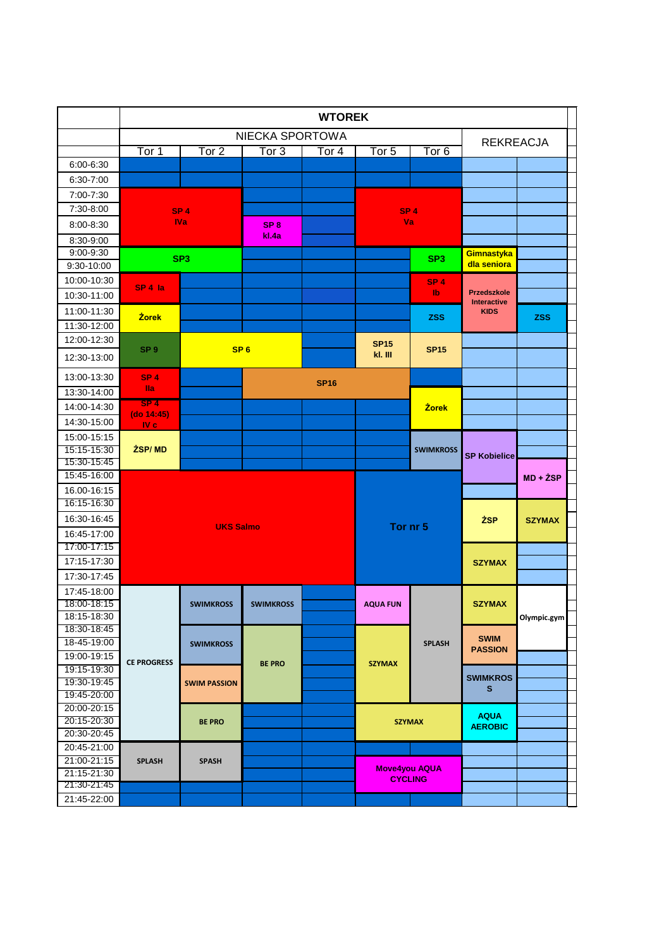|                            |                               |                     |                  | <b>WTOREK</b> |                      |                  |                                          |               |
|----------------------------|-------------------------------|---------------------|------------------|---------------|----------------------|------------------|------------------------------------------|---------------|
|                            |                               |                     | NIECKA SPORTOWA  |               |                      |                  | <b>REKREACJA</b>                         |               |
|                            | $\overline{\text{Tor}}$ 1     | Tor <sub>2</sub>    | Tor <sub>3</sub> | Tor $4$       | Tor $5$              | Tor <sub>6</sub> |                                          |               |
| 6:00-6:30                  |                               |                     |                  |               |                      |                  |                                          |               |
| 6:30-7:00                  |                               |                     |                  |               |                      |                  |                                          |               |
| 7:00-7:30                  |                               |                     |                  |               |                      |                  |                                          |               |
| 7:30-8:00                  |                               | SP <sub>4</sub>     |                  |               | SP <sub>4</sub>      |                  |                                          |               |
| 8:00-8:30                  |                               | <b>IVa</b>          | SP <sub>8</sub>  |               | Va                   |                  |                                          |               |
| 8:30-9:00                  |                               |                     | kl.4a            |               |                      |                  |                                          |               |
| 9:00-9:30                  |                               | SP <sub>3</sub>     |                  |               |                      | SP <sub>3</sub>  | Gimnastyka                               |               |
| 9:30-10:00                 |                               |                     |                  |               |                      |                  | dla seniora                              |               |
| 10:00-10:30                | SP 4 la                       |                     |                  |               |                      | SP <sub>4</sub>  |                                          |               |
| 10:30-11:00                |                               |                     |                  |               |                      | Ib               | <b>Przedszkole</b><br><b>Interactive</b> |               |
| 11:00-11:30                | <b>Żorek</b>                  |                     |                  |               |                      | <b>ZSS</b>       | <b>KIDS</b>                              | <b>ZSS</b>    |
| 11:30-12:00                |                               |                     |                  |               |                      |                  |                                          |               |
| 12:00-12:30                |                               |                     |                  |               | <b>SP15</b>          |                  |                                          |               |
| 12:30-13:00                | SP <sub>9</sub>               | SP <sub>6</sub>     |                  |               | kl. III              | <b>SP15</b>      |                                          |               |
| 13:00-13:30                | SP <sub>4</sub>               |                     |                  | <b>SP16</b>   |                      |                  |                                          |               |
| 13:30-14:00                | <b>Ila</b>                    |                     |                  |               |                      |                  |                                          |               |
| 14:00-14:30                | SP <sub>4</sub><br>(do 14:45) |                     |                  |               |                      | <b>Żorek</b>     |                                          |               |
| 14:30-15:00                | $IV c$                        |                     |                  |               |                      |                  |                                          |               |
| 15:00-15:15                |                               |                     |                  |               |                      |                  |                                          |               |
| 15:15-15:30                | <b>ŻSP/MD</b>                 |                     |                  |               |                      | <b>SWIMKROSS</b> | <b>SP Kobielice</b>                      |               |
| 15:30-15:45                |                               |                     |                  |               |                      |                  |                                          |               |
| 15:45-16:00                |                               |                     |                  |               |                      |                  |                                          | $MD + ZSP$    |
| 16.00-16:15                |                               |                     |                  |               |                      |                  |                                          |               |
| 16:15-16:30                |                               |                     |                  |               |                      |                  |                                          |               |
| 16:30-16:45                |                               | <b>UKS Salmo</b>    |                  |               | Tor nr 5             |                  | <b>ŻSP</b>                               | <b>SZYMAX</b> |
| 16:45-17:00                |                               |                     |                  |               |                      |                  |                                          |               |
| 17:00-17:15                |                               |                     |                  |               |                      |                  |                                          |               |
| 17:15-17:30                |                               |                     |                  |               |                      |                  | <b>SZYMAX</b>                            |               |
| 17:30-17:45                |                               |                     |                  |               |                      |                  |                                          |               |
| 17:45-18:00                |                               |                     |                  |               |                      |                  |                                          |               |
| 18:00-18:15                |                               | <b>SWIMKROSS</b>    | <b>SWIMKROSS</b> |               | <b>AQUA FUN</b>      |                  | <b>SZYMAX</b>                            |               |
| 18:15-18:30<br>18:30-18:45 |                               |                     |                  |               |                      |                  |                                          | Olympic.gym   |
| 18-45-19:00                |                               | <b>SWIMKROSS</b>    |                  |               |                      | <b>SPLASH</b>    | <b>SWIM</b>                              |               |
| 19:00-19:15                |                               |                     |                  |               |                      |                  | <b>PASSION</b>                           |               |
| 19:15-19:30                | <b>CE PROGRESS</b>            |                     | <b>BE PRO</b>    |               | <b>SZYMAX</b>        |                  |                                          |               |
| 19:30-19:45                |                               | <b>SWIM PASSION</b> |                  |               |                      |                  | <b>SWIMKROS</b>                          |               |
| 19:45-20:00                |                               |                     |                  |               |                      |                  | S.                                       |               |
| 20:00-20:15                |                               |                     |                  |               |                      |                  |                                          |               |
| 20:15-20:30                |                               | <b>BE PRO</b>       |                  |               | <b>SZYMAX</b>        |                  | <b>AQUA</b><br><b>AEROBIC</b>            |               |
| 20:30-20:45                |                               |                     |                  |               |                      |                  |                                          |               |
| 20:45-21:00                |                               |                     |                  |               |                      |                  |                                          |               |
| 21:00-21:15                | <b>SPLASH</b>                 | <b>SPASH</b>        |                  |               | <b>Move4you AQUA</b> |                  |                                          |               |
| 21:15-21:30<br>21:30-21:45 |                               |                     |                  |               | <b>CYCLING</b>       |                  |                                          |               |
|                            |                               |                     |                  |               |                      |                  |                                          |               |
| 21:45-22:00                |                               |                     |                  |               |                      |                  |                                          |               |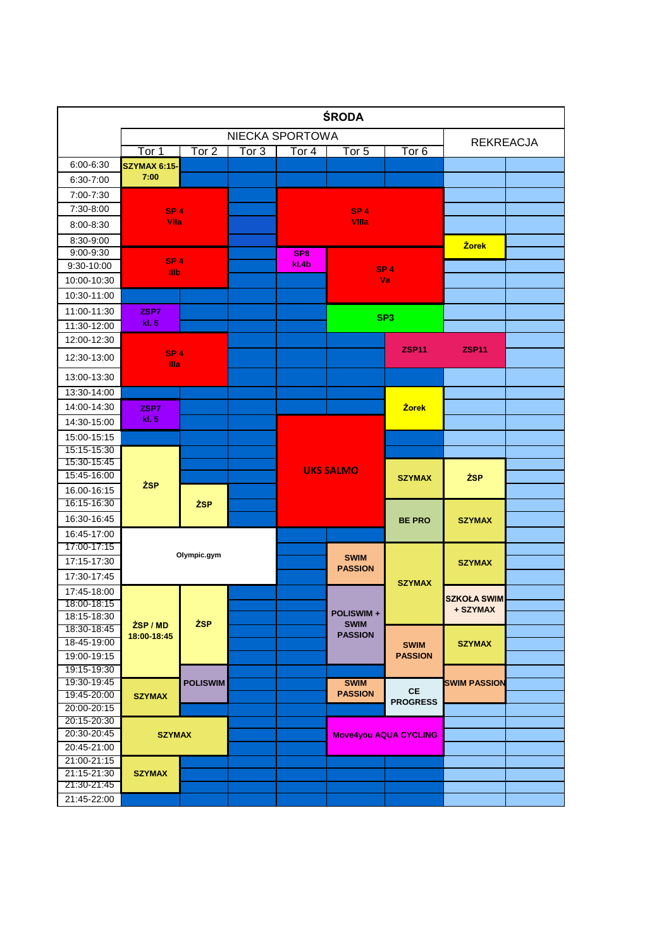|                            |                         |                 |                  |                  | <b>ŚRODA</b>                  |                               |                     |  |
|----------------------------|-------------------------|-----------------|------------------|------------------|-------------------------------|-------------------------------|---------------------|--|
|                            |                         |                 |                  | NIECKA SPORTOWA  |                               |                               | <b>REKREACJA</b>    |  |
|                            | Tor 1                   | Tor 2           | Tor <sub>3</sub> | Tor <sub>4</sub> | Tor 5                         | Tor 6                         |                     |  |
| 6:00-6:30                  | <b>SZYMAX 6:15-</b>     |                 |                  |                  |                               |                               |                     |  |
| 6:30-7:00                  | 7:00                    |                 |                  |                  |                               |                               |                     |  |
| 7:00-7:30                  |                         |                 |                  |                  |                               |                               |                     |  |
| 7:30-8:00                  | SP <sub>4</sub>         |                 |                  |                  | SP <sub>4</sub>               |                               |                     |  |
| $8:00 - 8:30$              | Vila                    |                 |                  |                  | <b>Villa</b>                  |                               |                     |  |
| 8:30-9:00                  |                         |                 |                  |                  |                               |                               | <b>Żorek</b>        |  |
| $9:00 - 9:30$              |                         |                 |                  | SP <sub>8</sub>  |                               |                               |                     |  |
| 9:30-10:00                 | SP <sub>4</sub><br>Illb |                 |                  | kl.4b            |                               | SP <sub>4</sub>               |                     |  |
| 10:00-10:30                |                         |                 |                  |                  |                               | Va                            |                     |  |
| 10:30-11:00                |                         |                 |                  |                  |                               |                               |                     |  |
| 11:00-11:30                | ZSP7                    |                 |                  |                  |                               |                               |                     |  |
| 11:30-12:00                | kl. 5                   |                 |                  |                  |                               | SP <sub>3</sub>               |                     |  |
| 12:00-12:30                |                         |                 |                  |                  |                               |                               |                     |  |
| 12:30-13:00                | SP <sub>4</sub><br>Illa |                 |                  |                  |                               | <b>ZSP11</b>                  | <b>ZSP11</b>        |  |
| 13:00-13:30                |                         |                 |                  |                  |                               |                               |                     |  |
| 13:30-14:00                |                         |                 |                  |                  |                               |                               |                     |  |
| 14:00-14:30                | ZSP7                    |                 |                  |                  |                               | <b>Żorek</b>                  |                     |  |
| 14:30-15:00                | kl. 5                   |                 |                  |                  |                               |                               |                     |  |
| 15:00-15:15                |                         |                 |                  |                  |                               |                               |                     |  |
| 15:15-15:30                |                         |                 |                  |                  |                               |                               |                     |  |
| 15:30-15:45                |                         |                 |                  |                  | <b>UKS SALMO</b>              |                               |                     |  |
| 15:45-16:00                | <b>ŻSP</b>              |                 |                  |                  |                               | <b>SZYMAX</b>                 | <b>ŻSP</b>          |  |
| 16.00-16:15                |                         |                 |                  |                  |                               |                               |                     |  |
| 16:15-16:30                |                         | <b>ŻSP</b>      |                  |                  |                               |                               |                     |  |
| 16:30-16:45                |                         |                 |                  |                  |                               | <b>BE PRO</b>                 | <b>SZYMAX</b>       |  |
| 16:45-17:00                |                         |                 |                  |                  |                               |                               |                     |  |
| 17:00-17:15                |                         | Olympic.gym     |                  |                  |                               |                               |                     |  |
| 17:15-17:30                |                         |                 |                  |                  | <b>SWIM</b><br><b>PASSION</b> |                               | <b>SZYMAX</b>       |  |
| 17:30-17:45                |                         |                 |                  |                  |                               | <b>SZYMAX</b>                 |                     |  |
| 17:45-18:00                |                         |                 |                  |                  |                               |                               | <b>SZKOŁA SWIM</b>  |  |
| 18:00-18:15                |                         |                 |                  |                  | <b>POLISWIM+</b>              |                               | + SZYMAX            |  |
| 18:15-18:30<br>18:30-18:45 | ZSP / MD                | <b>ŻSP</b>      |                  |                  | <b>SWIM</b>                   |                               |                     |  |
| 18-45-19:00                | 18:00-18:45             |                 |                  |                  | <b>PASSION</b>                |                               |                     |  |
| 19:00-19:15                |                         |                 |                  |                  |                               | <b>SWIM</b><br><b>PASSION</b> | <b>SZYMAX</b>       |  |
| 19:15-19:30                |                         |                 |                  |                  |                               |                               |                     |  |
| 19:30-19:45                |                         | <b>POLISWIM</b> |                  |                  | <b>SWIM</b>                   |                               | <b>SWIM PASSION</b> |  |
| 19:45-20:00                | <b>SZYMAX</b>           |                 |                  |                  | <b>PASSION</b>                | CE                            |                     |  |
| 20:00-20:15                |                         |                 |                  |                  |                               | <b>PROGRESS</b>               |                     |  |
| 20:15-20:30                |                         |                 |                  |                  |                               |                               |                     |  |
| 20:30-20:45                | <b>SZYMAX</b>           |                 |                  |                  |                               | <b>Move4you AQUA CYCLING</b>  |                     |  |
| 20:45-21:00                |                         |                 |                  |                  |                               |                               |                     |  |
| 21:00-21:15                |                         |                 |                  |                  |                               |                               |                     |  |
| 21:15-21:30<br>21:30-21:45 | <b>SZYMAX</b>           |                 |                  |                  |                               |                               |                     |  |
| 21:45-22:00                |                         |                 |                  |                  |                               |                               |                     |  |
|                            |                         |                 |                  |                  |                               |                               |                     |  |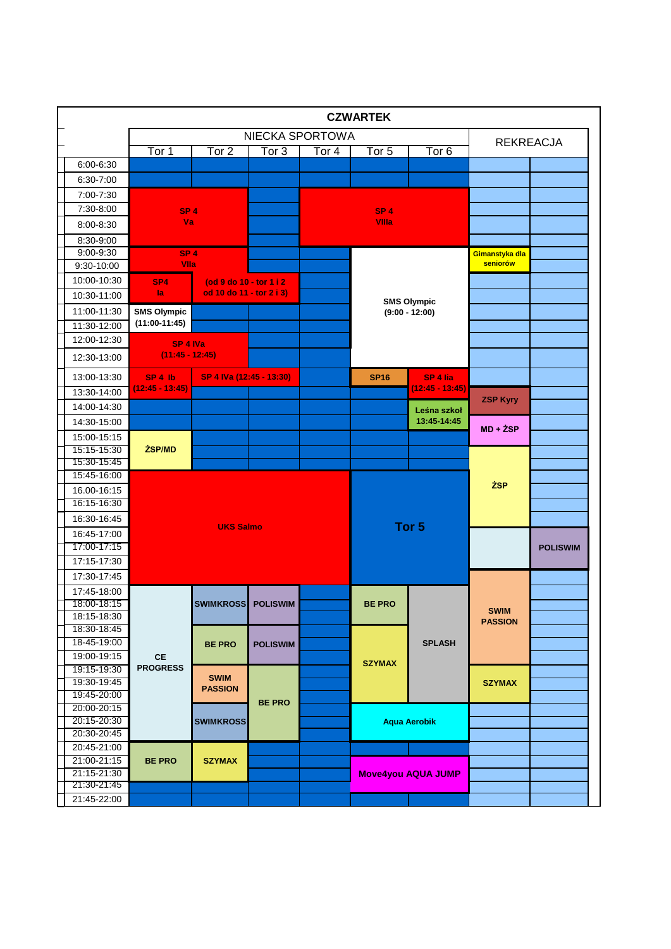|                            |                               |                          |                  |                 | <b>CZWARTEK</b> |                               |                               |                 |
|----------------------------|-------------------------------|--------------------------|------------------|-----------------|-----------------|-------------------------------|-------------------------------|-----------------|
|                            |                               |                          |                  | NIECKA SPORTOWA |                 |                               | <b>REKREACJA</b>              |                 |
|                            | Tor 1                         | Tor <sub>2</sub>         | Tor <sub>3</sub> | Tor $4$         | Tor 5           | Tor <sub>6</sub>              |                               |                 |
| 6:00-6:30                  |                               |                          |                  |                 |                 |                               |                               |                 |
| 6:30-7:00                  |                               |                          |                  |                 |                 |                               |                               |                 |
| 7:00-7:30                  |                               |                          |                  |                 |                 |                               |                               |                 |
| 7:30-8:00                  | SP <sub>4</sub>               |                          |                  |                 | SP <sub>4</sub> |                               |                               |                 |
| $8:00 - 8:30$              | Va                            |                          |                  |                 | <b>VIIIa</b>    |                               |                               |                 |
| 8:30-9:00                  |                               |                          |                  |                 |                 |                               |                               |                 |
| 9:00-9:30                  | SP <sub>4</sub>               |                          |                  |                 |                 |                               | Gimanstyka dla                |                 |
| 9:30-10:00                 | Vila                          |                          |                  |                 |                 |                               | seniorów                      |                 |
| 10:00-10:30                | SP <sub>4</sub>               | (od 9 do 10 - tor 1 i 2  |                  |                 |                 |                               |                               |                 |
| 10:30-11:00                | la.                           | od 10 do 11 - tor 2 i 3) |                  |                 |                 | <b>SMS Olympic</b>            |                               |                 |
| 11:00-11:30                | <b>SMS Olympic</b>            |                          |                  |                 |                 | $(9:00 - 12:00)$              |                               |                 |
| 11:30-12:00                | $(11:00-11:45)$               |                          |                  |                 |                 |                               |                               |                 |
| 12:00-12:30                | SP <sub>4</sub> IVa           |                          |                  |                 |                 |                               |                               |                 |
| 12:30-13:00                | $(11:45 - 12:45)$             |                          |                  |                 |                 |                               |                               |                 |
| 13:00-13:30                | $SP4$ lb<br>$(12:45 - 13:45)$ | SP 4 IVa (12:45 - 13:30) |                  |                 | <b>SP16</b>     | SP 4 lia<br>$(12:45 - 13:45)$ |                               |                 |
| 13:30-14:00                |                               |                          |                  |                 |                 |                               | <b>ZSP Kyry</b>               |                 |
| 14:00-14:30                |                               |                          |                  |                 |                 | Leśna szkoł                   |                               |                 |
| 14:30-15:00                |                               |                          |                  |                 |                 | 13:45-14:45                   | $MD + ZSP$                    |                 |
| 15:00-15:15                |                               |                          |                  |                 |                 |                               |                               |                 |
| 15:15-15:30                | ŻSP/MD                        |                          |                  |                 |                 |                               |                               |                 |
| 15:30-15:45<br>15:45-16:00 |                               |                          |                  |                 |                 |                               |                               |                 |
| 16.00-16:15                |                               |                          |                  |                 |                 |                               | <b>ŻSP</b>                    |                 |
| 16:15-16:30                |                               |                          |                  |                 |                 |                               |                               |                 |
| 16:30-16:45                |                               |                          |                  |                 |                 |                               |                               |                 |
| 16:45-17:00                |                               | <b>UKS Salmo</b>         |                  |                 |                 | Tor <sub>5</sub>              |                               |                 |
| 17:00-17:15                |                               |                          |                  |                 |                 |                               |                               | <b>POLISWIM</b> |
| 17:15-17:30                |                               |                          |                  |                 |                 |                               |                               |                 |
| 17:30-17:45                |                               |                          |                  |                 |                 |                               |                               |                 |
| 17:45-18:00                |                               |                          |                  |                 |                 |                               |                               |                 |
| 18:00-18:15                |                               | SWIMKROSS POLISWIM       |                  |                 | <b>BE PRO</b>   |                               |                               |                 |
| 18:15-18:30                |                               |                          |                  |                 |                 |                               | <b>SWIM</b><br><b>PASSION</b> |                 |
| 18:30-18:45                |                               |                          |                  |                 |                 |                               |                               |                 |
| 18-45-19:00                |                               | <b>BE PRO</b>            | <b>POLISWIM</b>  |                 |                 | <b>SPLASH</b>                 |                               |                 |
| 19:00-19:15                | <b>CE</b>                     |                          |                  |                 | <b>SZYMAX</b>   |                               |                               |                 |
| 19:15-19:30                | <b>PROGRESS</b>               | <b>SWIM</b>              |                  |                 |                 |                               |                               |                 |
| 19:30-19:45<br>19:45-20:00 |                               | <b>PASSION</b>           |                  |                 |                 |                               | <b>SZYMAX</b>                 |                 |
| 20:00-20:15                |                               |                          | <b>BE PRO</b>    |                 |                 |                               |                               |                 |
| 20:15-20:30                |                               | <b>SWIMKROSS</b>         |                  |                 |                 | <b>Aqua Aerobik</b>           |                               |                 |
| 20:30-20:45                |                               |                          |                  |                 |                 |                               |                               |                 |
| 20:45-21:00                |                               |                          |                  |                 |                 |                               |                               |                 |
| 21:00-21:15                | <b>BE PRO</b>                 | <b>SZYMAX</b>            |                  |                 |                 |                               |                               |                 |
| 21:15-21:30                |                               |                          |                  |                 |                 | <b>Move4you AQUA JUMP</b>     |                               |                 |
| 21:30-21:45                |                               |                          |                  |                 |                 |                               |                               |                 |
| 21:45-22:00                |                               |                          |                  |                 |                 |                               |                               |                 |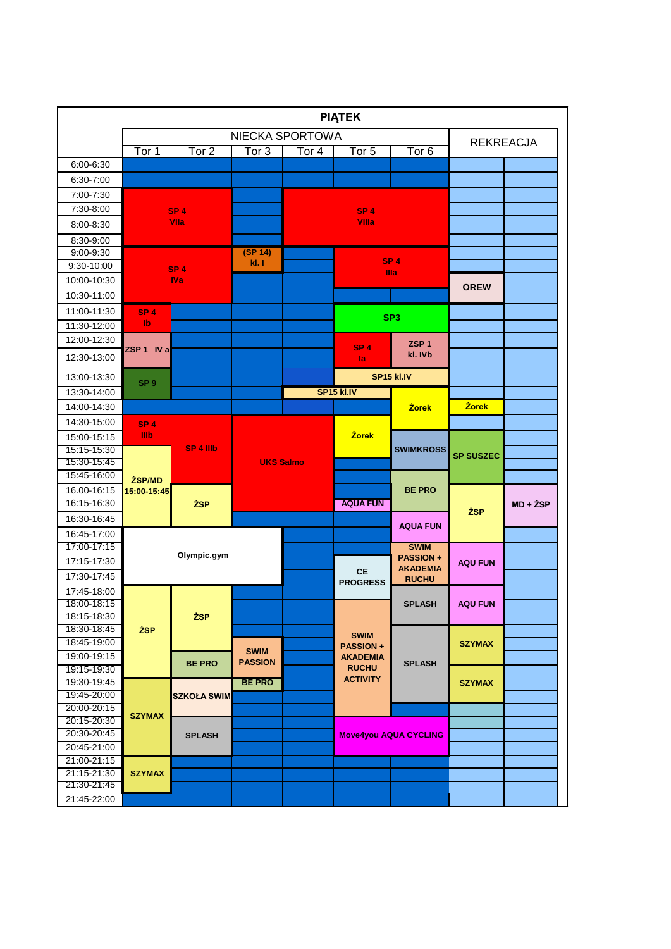| NIECKA SPORTOWA<br><b>REKREACJA</b><br>Tor 1<br>Tor 2<br>Tor <sub>3</sub><br>Tor $4$<br>Tor $5$<br>Tor <sub>6</sub><br>6:00-6:30<br>6:30-7:00<br>7:00-7:30<br>7:30-8:00<br>SP <sub>4</sub><br>SP <sub>4</sub><br><b>VIIa</b><br><b>VIIIa</b><br>$8:00 - 8:30$<br>8:30-9:00<br>(SP 14)<br>9:00-9:30 |          |
|----------------------------------------------------------------------------------------------------------------------------------------------------------------------------------------------------------------------------------------------------------------------------------------------------|----------|
|                                                                                                                                                                                                                                                                                                    |          |
|                                                                                                                                                                                                                                                                                                    |          |
|                                                                                                                                                                                                                                                                                                    |          |
|                                                                                                                                                                                                                                                                                                    |          |
|                                                                                                                                                                                                                                                                                                    |          |
|                                                                                                                                                                                                                                                                                                    |          |
|                                                                                                                                                                                                                                                                                                    |          |
|                                                                                                                                                                                                                                                                                                    |          |
| SP <sub>4</sub>                                                                                                                                                                                                                                                                                    |          |
| kl. I<br>9:30-10:00<br>SP <sub>4</sub><br>Illa                                                                                                                                                                                                                                                     |          |
| <b>IVa</b><br>10:00-10:30<br><b>OREW</b>                                                                                                                                                                                                                                                           |          |
| 10:30-11:00                                                                                                                                                                                                                                                                                        |          |
| 11:00-11:30<br>SP <sub>4</sub><br>SP <sub>3</sub>                                                                                                                                                                                                                                                  |          |
| $\mathbf{I}$<br>11:30-12:00                                                                                                                                                                                                                                                                        |          |
| 12:00-12:30<br>ZSP <sub>1</sub><br>SP <sub>4</sub><br>ZSP 1 IV a                                                                                                                                                                                                                                   |          |
| kl. IVb<br>12:30-13:00<br>la                                                                                                                                                                                                                                                                       |          |
| SP15 kl.IV<br>13:00-13:30<br>SP <sub>9</sub>                                                                                                                                                                                                                                                       |          |
| <b>SP15 kl.IV</b><br>13:30-14:00                                                                                                                                                                                                                                                                   |          |
| <b>Żorek</b><br>14:00-14:30<br><b>Żorek</b>                                                                                                                                                                                                                                                        |          |
| 14:30-15:00<br>SP <sub>4</sub>                                                                                                                                                                                                                                                                     |          |
| <b>IIIb</b><br><b>Żorek</b><br>15:00-15:15<br>SP 4 IIIb                                                                                                                                                                                                                                            |          |
| 15:15-15:30<br><b>SWIMKROSS</b><br><b>SP SUSZEC</b><br>15:30-15:45<br><b>UKS Salmo</b>                                                                                                                                                                                                             |          |
| 15:45-16:00                                                                                                                                                                                                                                                                                        |          |
| ŻSP/MD<br><b>BE PRO</b><br>16.00-16:15<br>15:00-15:45                                                                                                                                                                                                                                              |          |
| 16:15 16:30<br><b>AQUA FUN</b><br><b>ŻSP</b>                                                                                                                                                                                                                                                       | MD + ŻSP |
| <b>ŻSP</b><br>16:30-16:45                                                                                                                                                                                                                                                                          |          |
| <b>AQUA FUN</b><br>16:45-17:00                                                                                                                                                                                                                                                                     |          |
| 17:00-17:15<br><b>SWIM</b>                                                                                                                                                                                                                                                                         |          |
| Olympic.gym<br><b>PASSION+</b><br>17:15-17:30<br><b>AQU FUN</b>                                                                                                                                                                                                                                    |          |
| <b>AKADEMIA</b><br><b>CE</b><br>17:30-17:45<br><b>RUCHU</b><br><b>PROGRESS</b>                                                                                                                                                                                                                     |          |
| 17:45-18:00                                                                                                                                                                                                                                                                                        |          |
| 18:00-18:15<br><b>SPLASH</b><br><b>AQU FUN</b>                                                                                                                                                                                                                                                     |          |
| 18:15-18:30<br>ŽSP.                                                                                                                                                                                                                                                                                |          |
| 18:30-18:45<br><b>ŻSP</b><br><b>SWIM</b>                                                                                                                                                                                                                                                           |          |
| 18:45 19:00<br><b>SZYMAX</b><br><b>PASSION+</b><br><b>SWIM</b>                                                                                                                                                                                                                                     |          |
| 19:00-19:15<br><b>AKADEMIA</b><br><b>PASSION</b><br><b>BE PRO</b><br><b>SPLASH</b><br><b>RUCHU</b><br>19:15-19:30                                                                                                                                                                                  |          |
| <b>ACTIVITY</b><br>19:30-19:45<br><b>BE PRO</b><br><b>SZYMAX</b>                                                                                                                                                                                                                                   |          |
| 19:45-20:00<br><b>SZKOŁA SWIM</b>                                                                                                                                                                                                                                                                  |          |
| 20:00-20:15                                                                                                                                                                                                                                                                                        |          |
| <b>SZYMAX</b><br>20:15-20:30                                                                                                                                                                                                                                                                       |          |
| 20:30-20:45<br><b>SPLASH</b><br><b>Move4you AQUA CYCLING</b>                                                                                                                                                                                                                                       |          |
| 20:45-21:00                                                                                                                                                                                                                                                                                        |          |
| 21:00-21:15<br>21:15-21:30<br><b>SZYMAX</b>                                                                                                                                                                                                                                                        |          |
| 21:30-21:45                                                                                                                                                                                                                                                                                        |          |
| 21:45-22:00                                                                                                                                                                                                                                                                                        |          |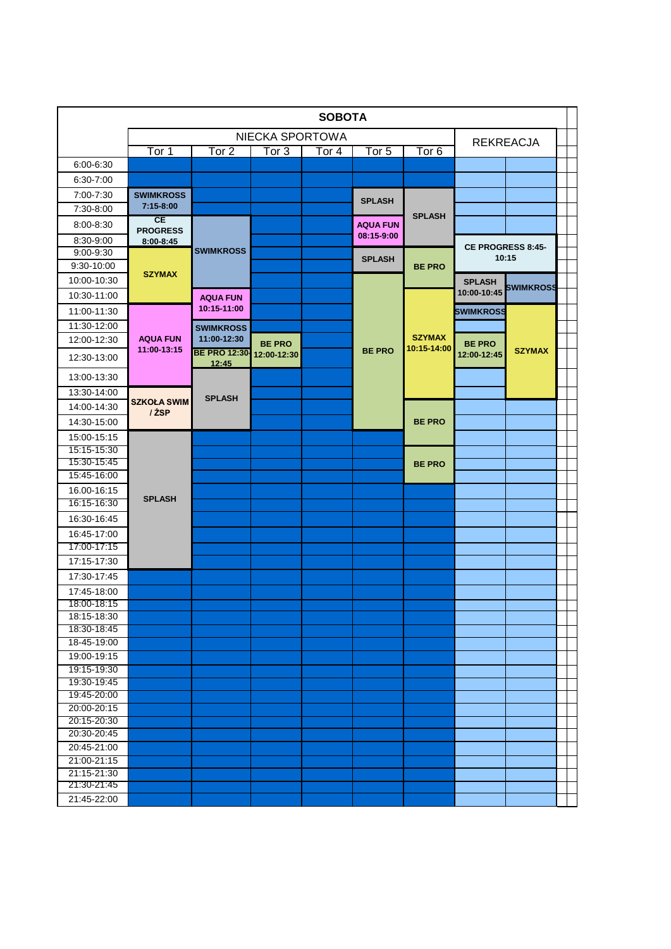|                            |                                |                               |                  | <b>SOBOTA</b> |                               |                              |                          |                  |  |
|----------------------------|--------------------------------|-------------------------------|------------------|---------------|-------------------------------|------------------------------|--------------------------|------------------|--|
|                            |                                |                               | NIECKA SPORTOWA  |               |                               |                              |                          | <b>REKREACJA</b> |  |
|                            | Tor 1                          | Tor <sub>2</sub>              | Tor <sub>3</sub> | Tor $4$       | Tor $5$                       | Tor $6$                      |                          |                  |  |
| 6:00-6:30                  |                                |                               |                  |               |                               |                              |                          |                  |  |
| $6:30 - 7:00$              |                                |                               |                  |               |                               |                              |                          |                  |  |
| 7:00-7:30                  | <b>SWIMKROSS</b>               |                               |                  |               | <b>SPLASH</b>                 |                              |                          |                  |  |
| 7:30-8:00                  | 7:15-8:00                      |                               |                  |               |                               |                              |                          |                  |  |
| $8:00 - 8:30$              | CE<br><b>PROGRESS</b>          |                               |                  |               | <b>AQUA FUN</b><br>08:15-9:00 | <b>SPLASH</b>                |                          |                  |  |
| 8:30-9:00                  | 8:00-8:45                      |                               |                  |               |                               |                              | <b>CE PROGRESS 8:45-</b> |                  |  |
| 9:00-9:30                  |                                | <b>SWIMKROSS</b>              |                  |               | <b>SPLASH</b>                 |                              |                          | 10:15            |  |
| 9:30-10:00                 | <b>SZYMAX</b>                  |                               |                  |               |                               | <b>BE PRO</b>                |                          |                  |  |
| 10:00-10:30                |                                |                               |                  |               |                               |                              | <b>SPLASH</b>            | <b>SWIMKROSS</b> |  |
| 10:30-11:00                |                                | <b>AQUA FUN</b>               |                  |               |                               |                              | 10:00-10:45              |                  |  |
| 11:00-11:30                |                                | 10:15-11:00                   |                  |               |                               |                              | <b>SWIMKROSS</b>         |                  |  |
| 11:30-12:00                |                                | <b>SWIMKROSS</b>              |                  |               |                               |                              |                          |                  |  |
| 12:00-12:30                | <b>AQUA FUN</b><br>11:00-13:15 | 11:00-12:30                   | <b>BE PRO</b>    |               | <b>BE PRO</b>                 | <b>SZYMAX</b><br>10:15-14:00 | <b>BE PRO</b>            |                  |  |
| 12:30-13:00                |                                | <b>BE PRO 12:30-</b><br>12:45 | 12:00-12:30      |               |                               |                              | 12:00-12:45              | <b>SZYMAX</b>    |  |
| 13:00-13:30                |                                |                               |                  |               |                               |                              |                          |                  |  |
| 13:30-14:00                | <b>SZKOŁA SWIM</b>             | <b>SPLASH</b>                 |                  |               |                               |                              |                          |                  |  |
| 14:00-14:30                | / ŻSP                          |                               |                  |               |                               |                              |                          |                  |  |
| 14:30-15:00                |                                |                               |                  |               |                               | <b>BE PRO</b>                |                          |                  |  |
| 15:00-15:15                |                                |                               |                  |               |                               |                              |                          |                  |  |
| 15:15 15:30                |                                |                               |                  |               |                               |                              |                          |                  |  |
| 15:30-15:45                |                                |                               |                  |               |                               | <b>BE PRO</b>                |                          |                  |  |
| 15:45 16:00                |                                |                               |                  |               |                               |                              |                          |                  |  |
| 16.00-16:15                | <b>SPLASH</b>                  |                               |                  |               |                               |                              |                          |                  |  |
| 16:15 16:30                |                                |                               |                  |               |                               |                              |                          |                  |  |
| 16:30-16:45                |                                |                               |                  |               |                               |                              |                          |                  |  |
| 16:45-17:00                |                                |                               |                  |               |                               |                              |                          |                  |  |
| 17:00-17:15                |                                |                               |                  |               |                               |                              |                          |                  |  |
| 17:15-17:30                |                                |                               |                  |               |                               |                              |                          |                  |  |
| 17:30-17:45                |                                |                               |                  |               |                               |                              |                          |                  |  |
| 17:45-18:00                |                                |                               |                  |               |                               |                              |                          |                  |  |
| 18:00-18:15                |                                |                               |                  |               |                               |                              |                          |                  |  |
| 18:15-18:30<br>18:30-18:45 |                                |                               |                  |               |                               |                              |                          |                  |  |
| 18-45-19:00                |                                |                               |                  |               |                               |                              |                          |                  |  |
| 19:00-19:15                |                                |                               |                  |               |                               |                              |                          |                  |  |
| 19:15 19:30                |                                |                               |                  |               |                               |                              |                          |                  |  |
| 19:30-19:45                |                                |                               |                  |               |                               |                              |                          |                  |  |
| 19:45-20:00                |                                |                               |                  |               |                               |                              |                          |                  |  |
| 20:00-20:15                |                                |                               |                  |               |                               |                              |                          |                  |  |
| 20:15-20:30                |                                |                               |                  |               |                               |                              |                          |                  |  |
| 20:30-20:45                |                                |                               |                  |               |                               |                              |                          |                  |  |
| 20:45 21:00                |                                |                               |                  |               |                               |                              |                          |                  |  |
| 21:00-21:15                |                                |                               |                  |               |                               |                              |                          |                  |  |
| 21:15-21:30                |                                |                               |                  |               |                               |                              |                          |                  |  |
| 21:30-21:45                |                                |                               |                  |               |                               |                              |                          |                  |  |
| 21:45-22:00                |                                |                               |                  |               |                               |                              |                          |                  |  |